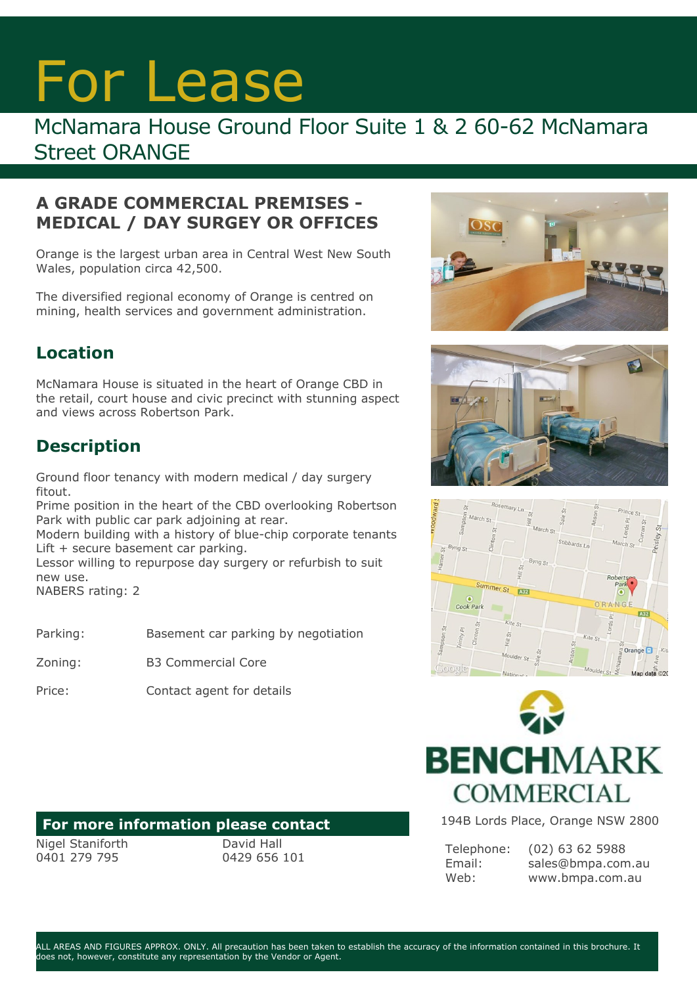# For Lease

## McNamara House Ground Floor Suite 1 & 2 60-62 McNamara Street ORANGE

#### **A GRADE COMMERCIAL PREMISES - MEDICAL / DAY SURGEY OR OFFICES**

Orange is the largest urban area in Central West New South Wales, population circa 42,500.

The diversified regional economy of Orange is centred on mining, health services and government administration.

### **Location**

McNamara House is situated in the heart of Orange CBD in the retail, court house and civic precinct with stunning aspect and views across Robertson Park.

### **Description**

Ground floor tenancy with modern medical / day surgery fitout.

Prime position in the heart of the CBD overlooking Robertson Park with public car park adjoining at rear.

Modern building with a history of blue-chip corporate tenants Lift + secure basement car parking.

Lessor willing to repurpose day surgery or refurbish to suit new use.

NABERS rating: 2

Zoning: B3 Commercial Core

Price: Contact agent for details

#### **For more information please contact**

Nigel Staniforth 0401 279 795

David Hall 0429 656 101









194B Lords Place, Orange NSW 2800

Telephone: Email: Web:

(02) 63 62 5988 sales@bmpa.com.au www.bmpa.com.au